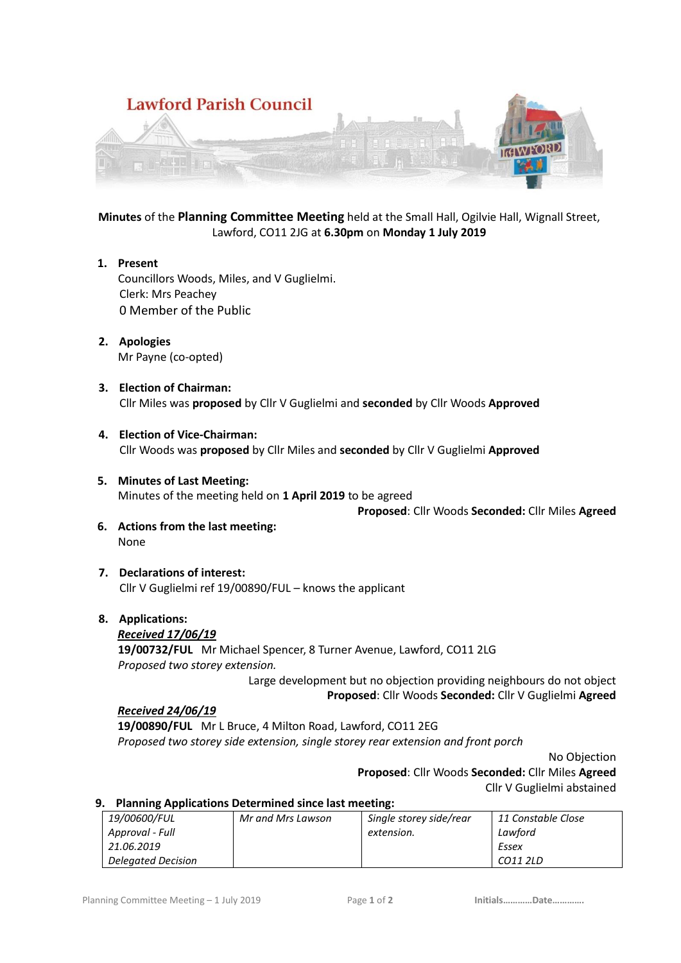

**Minutes** of the **Planning Committee Meeting** held at the Small Hall, Ogilvie Hall, Wignall Street, Lawford, CO11 2JG at **6.30pm** on **Monday 1 July 2019**

- **1. Present** Councillors Woods, Miles, and V Guglielmi. Clerk: Mrs Peachey 0 Member of the Public
- **2. Apologies** Mr Payne (co-opted)
- **3. Election of Chairman:** Cllr Miles was **proposed** by Cllr V Guglielmi and **seconded** by Cllr Woods **Approved**
- **4. Election of Vice-Chairman:** Cllr Woods was **proposed** by Cllr Miles and **seconded** by Cllr V Guglielmi **Approved**
- **5. Minutes of Last Meeting:** Minutes of the meeting held on **1 April 2019** to be agreed

**Proposed**: Cllr Woods **Seconded:** Cllr Miles **Agreed**

- **6. Actions from the last meeting:** None
- **7. Declarations of interest:** Cllr V Guglielmi ref 19/00890/FUL – knows the applicant

# **8. Applications:**

### *Received 17/06/19*

**19/00732/FUL** Mr Michael Spencer, 8 Turner Avenue, Lawford, CO11 2LG *Proposed two storey extension.*

Large development but no objection providing neighbours do not object **Proposed**: Cllr Woods **Seconded:** Cllr V Guglielmi **Agreed**

### *Received 24/06/19*

**19/00890/FUL** Mr L Bruce, 4 Milton Road, Lawford, CO11 2EG *Proposed two storey side extension, single storey rear extension and front porch*

No Objection

**Proposed**: Cllr Woods **Seconded:** Cllr Miles **Agreed** Cllr V Guglielmi abstained

# **9. Planning Applications Determined since last meeting:**

| 19/00600/FUL              | Mr and Mrs Lawson | Single storey side/rear | 11 Constable Close |
|---------------------------|-------------------|-------------------------|--------------------|
| Approval - Full           |                   | extension.              | Lawford            |
| 21.06.2019                |                   |                         | Essex              |
| <b>Delegated Decision</b> |                   |                         | CO11 2LD           |